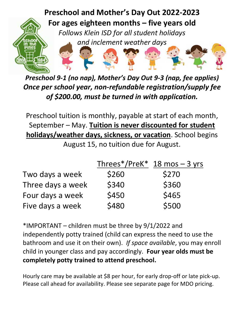

*Preschool 9-1 (no nap), Mother's Day Out 9-3 (nap, fee applies) Once per school year, non-refundable registration/supply fee of \$200.00, must be turned in with application.*

Preschool tuition is monthly, payable at start of each month, September – May. **Tuition is never discounted for student holidays/weather days, sickness, or vacation**. School begins

August 15, no tuition due for August.

|                   | Threes*/PreK* $18 \text{ mos} - 3 \text{ yrs}$ |       |
|-------------------|------------------------------------------------|-------|
| Two days a week   | \$260                                          | \$270 |
| Three days a week | \$340                                          | \$360 |
| Four days a week  | \$450                                          | \$465 |
| Five days a week  | \$480                                          | \$500 |

\*IMPORTANT – children must be three by 9/1/2022 and independently potty trained (child can express the need to use the bathroom and use it on their own). *If space available*, you may enroll child in younger class and pay accordingly. **Four year olds must be completely potty trained to attend preschool.**

Hourly care may be available at \$8 per hour, for early drop-off or late pick-up. Please call ahead for availability. Please see separate page for MDO pricing.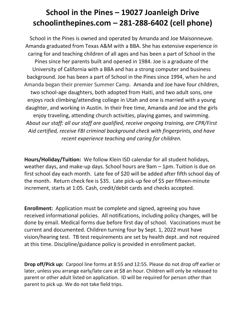## **School in the Pines – 19027 Joanleigh Drive schoolinthepines.com – 281-288-6402 (cell phone)**

School in the Pines is owned and operated by Amanda and Joe Maisonneuve. Amanda graduated from Texas A&M with a BBA. She has extensive experience in caring for and teaching children of all ages and has been a part of School in the Pines since her parents built and opened in 1984. Joe is a graduate of the University of California with a BBA and has a strong computer and business background. Joe has been a part of School in the Pines since 1994, when he and Amanda began their premier Summer Camp. Amanda and Joe have four children, two school-age daughters, both adopted from Haiti, and two adult sons, one enjoys rock climbing/attending college in Utah and one is married with a young daughter, and working in Austin. In their free time, Amanda and Joe and the girls enjoy traveling, attending church activities, playing games, and swimming. *About our staff: all our staff are qualified, receive ongoing training, are CPR/First Aid certified, receive FBI criminal background check with fingerprints, and have recent experience teaching and caring for children.* 

**Hours/Holiday/Tuition:** We follow Klein ISD calendar for all student holidays, weather days, and make-up days. School hours are 9am – 1pm. Tuition is due on first school day each month. Late fee of \$20 will be added after fifth school day of the month. Return check fee is \$35. Late pick-up fee of \$5 per fifteen-minute increment, starts at 1:05. Cash, credit/debit cards and checks accepted.

**Enrollment:** Application must be complete and signed, agreeing you have received informational policies. All notifications, including policy changes, will be done by email. Medical forms due before first day of school. Vaccinations must be current and documented. Children turning four by Sept. 1, 2022 must have vision/hearing test. TB test requirements are set by health dept. and not required at this time. Discipline/guidance policy is provided in enrollment packet.

**Drop off/Pick up:** Carpool line forms at 8:55 and 12:55. Please do not drop off earlier or later, unless you arrange early/late care at \$8 an hour. Children will only be released to parent or other adult listed on application. ID will be required for person other than parent to pick up. We do not take field trips.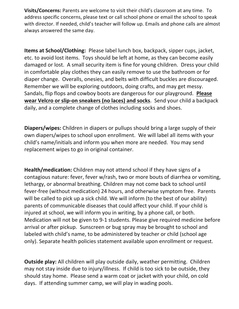**Visits/Concerns:** Parents are welcome to visit their child's classroom at any time. To address specific concerns, please text or call school phone or email the school to speak with director. If needed, child's teacher will follow up. Emails and phone calls are almost always answered the same day.

**Items at School/Clothing:** Please label lunch box, backpack, sipper cups, jacket, etc. to avoid lost items. Toys should be left at home, as they can become easily damaged or lost. A small security item is fine for young children. Dress your child in comfortable play clothes they can easily remove to use the bathroom or for diaper change. Overalls, onesies, and belts with difficult buckles are discouraged. Remember we will be exploring outdoors, doing crafts, and may get messy. Sandals, flip flops and cowboy boots are dangerous for our playground. **Please wear Velcro or slip-on sneakers (no laces) and socks**. Send your child a backpack daily, and a complete change of clothes including socks and shoes.

**Diapers/wipes:** Children in diapers or pullups should bring a large supply of their own diapers/wipes to school upon enrollment. We will label all items with your child's name/initials and inform you when more are needed. You may send replacement wipes to go in original container.

**Health/medication:** Children may not attend school if they have signs of a contagious nature: fever, fever w/rash, two or more bouts of diarrhea or vomiting, lethargy, or abnormal breathing. Children may not come back to school until fever-free (without medication) 24 hours, and otherwise symptom free. Parents will be called to pick up a sick child. We will inform (to the best of our ability) parents of communicable diseases that could affect your child. If your child is injured at school, we will inform you in writing, by a phone call, or both. Medication will not be given to 9-1 students. Please give required medicine before arrival or after pickup. Sunscreen or bug spray may be brought to school and labeled with child's name, to be administered by teacher or child (school age only). Separate health policies statement available upon enrollment or request.

**Outside play:** All children will play outside daily, weather permitting. Children may not stay inside due to injury/illness. If child is too sick to be outside, they should stay home. Please send a warm coat or jacket with your child, on cold days. If attending summer camp, we will play in wading pools.